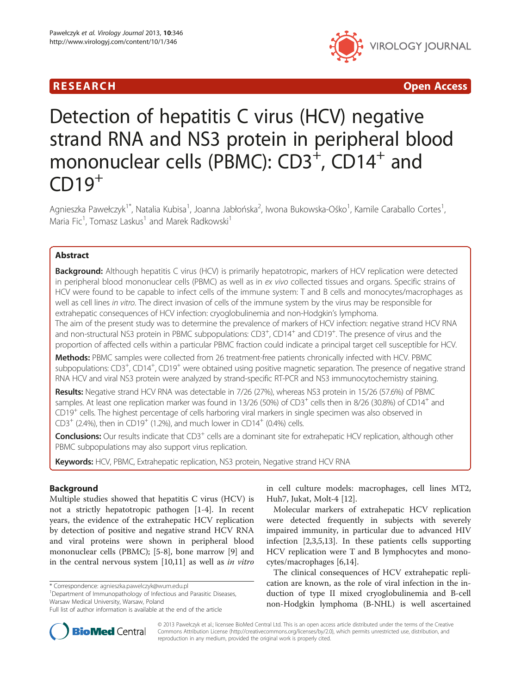## R E S EAR CH Open Access



# Detection of hepatitis C virus (HCV) negative strand RNA and NS3 protein in peripheral blood mononuclear cells (PBMC):  $CD3^+$ ,  $CD14^+$  and  $CD19<sup>+</sup>$

Agnieszka Pawełczyk<sup>1\*</sup>, Natalia Kubisa<sup>1</sup>, Joanna Jabłońska<sup>2</sup>, Iwona Bukowska-Ośko<sup>1</sup>, Kamile Caraballo Cortes<sup>1</sup> , Maria Fic<sup>1</sup>, Tomasz Laskus<sup>1</sup> and Marek Radkowski<sup>1</sup>

## Abstract

Background: Although hepatitis C virus (HCV) is primarily hepatotropic, markers of HCV replication were detected in peripheral blood mononuclear cells (PBMC) as well as in ex vivo collected tissues and organs. Specific strains of HCV were found to be capable to infect cells of the immune system: T and B cells and monocytes/macrophages as well as cell lines in vitro. The direct invasion of cells of the immune system by the virus may be responsible for extrahepatic consequences of HCV infection: cryoglobulinemia and non-Hodgkin's lymphoma.

The aim of the present study was to determine the prevalence of markers of HCV infection: negative strand HCV RNA and non-structural NS3 protein in PBMC subpopulations: CD3<sup>+</sup>, CD14<sup>+</sup> and CD19<sup>+</sup>. The presence of virus and the proportion of affected cells within a particular PBMC fraction could indicate a principal target cell susceptible for HCV.

Methods: PBMC samples were collected from 26 treatment-free patients chronically infected with HCV. PBMC subpopulations: CD3<sup>+</sup>, CD14<sup>+</sup>, CD19<sup>+</sup> were obtained using positive magnetic separation. The presence of negative strand RNA HCV and viral NS3 protein were analyzed by strand-specific RT-PCR and NS3 immunocytochemistry staining.

Results: Negative strand HCV RNA was detectable in 7/26 (27%), whereas NS3 protein in 15/26 (57.6%) of PBMC samples. At least one replication marker was found in 13/26 (50%) of CD3<sup>+</sup> cells then in 8/26 (30.8%) of CD14<sup>+</sup> and CD19+ cells. The highest percentage of cells harboring viral markers in single specimen was also observed in  $CD3^{+}$  (2.4%), then in CD19<sup>+</sup> (1.2%), and much lower in CD14<sup>+</sup> (0.4%) cells.

**Conclusions:** Our results indicate that CD3<sup>+</sup> cells are a dominant site for extrahepatic HCV replication, although other PBMC subpopulations may also support virus replication.

Keywords: HCV, PBMC, Extrahepatic replication, NS3 protein, Negative strand HCV RNA

### Background

Multiple studies showed that hepatitis C virus (HCV) is not a strictly hepatotropic pathogen [\[1](#page-5-0)-[4\]](#page-5-0). In recent years, the evidence of the extrahepatic HCV replication by detection of positive and negative strand HCV RNA and viral proteins were shown in peripheral blood mononuclear cells (PBMC); [[5-8\]](#page-5-0), bone marrow [[9\]](#page-5-0) and in the central nervous system [\[10,11](#page-5-0)] as well as in vitro

\* Correspondence: [agnieszka.pawelczyk@wum.edu.pl](mailto:agnieszka.pawelczyk@wum.edu.pl) <sup>1</sup>

<sup>1</sup>Department of Immunopathology of Infectious and Parasitic Diseases, Warsaw Medical University, Warsaw, Poland

in cell culture models: macrophages, cell lines MT2, Huh7, Jukat, Molt-4 [\[12](#page-5-0)].

Molecular markers of extrahepatic HCV replication were detected frequently in subjects with severely impaired immunity, in particular due to advanced HIV infection [[2,3,5,13\]](#page-5-0). In these patients cells supporting HCV replication were T and B lymphocytes and monocytes/macrophages [\[6,14](#page-5-0)].

The clinical consequences of HCV extrahepatic replication are known, as the role of viral infection in the induction of type II mixed cryoglobulinemia and B-cell non-Hodgkin lymphoma (B-NHL) is well ascertained



© 2013 Pawełczyk et al.; licensee BioMed Central Ltd. This is an open access article distributed under the terms of the Creative Commons Attribution License [\(http://creativecommons.org/licenses/by/2.0\)](http://creativecommons.org/licenses/by/2.0), which permits unrestricted use, distribution, and reproduction in any medium, provided the original work is properly cited.

Full list of author information is available at the end of the article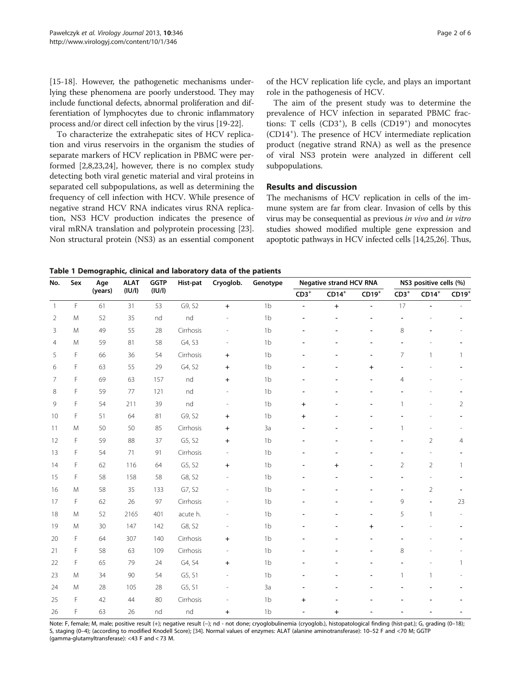No. Sex Age

(years)

ALAT (IU/l)

<span id="page-1-0"></span>[[15-18](#page-5-0)]. However, the pathogenetic mechanisms underlying these phenomena are poorly understood. They may include functional defects, abnormal proliferation and differentiation of lymphocytes due to chronic inflammatory process and/or direct cell infection by the virus [\[19-22\]](#page-5-0).

To characterize the extrahepatic sites of HCV replication and virus reservoirs in the organism the studies of separate markers of HCV replication in PBMC were performed [[2](#page-5-0),[8,23](#page-5-0),[24](#page-5-0)], however, there is no complex study detecting both viral genetic material and viral proteins in separated cell subpopulations, as well as determining the frequency of cell infection with HCV. While presence of negative strand HCV RNA indicates virus RNA replication, NS3 HCV production indicates the presence of viral mRNA translation and polyprotein processing [\[23](#page-5-0)]. Non structural protein (NS3) as an essential component

of the HCV replication life cycle, and plays an important role in the pathogenesis of HCV.

The aim of the present study was to determine the prevalence of HCV infection in separated PBMC fractions: T cells (CD3<sup>+</sup>), B cells (CD19<sup>+</sup>) and monocytes (CD14<sup>+</sup> ). The presence of HCV intermediate replication product (negative strand RNA) as well as the presence of viral NS3 protein were analyzed in different cell subpopulations.

#### Results and discussion

Hist-pat Cryoglob. Genotype Negative strand HCV RNA NS3 positive cells (%)

The mechanisms of HCV replication in cells of the immune system are far from clear. Invasion of cells by this virus may be consequential as previous in vivo and in vitro studies showed modified multiple gene expression and apoptotic pathways in HCV infected cells [\[14,25,26](#page-5-0)]. Thus,

 $CD3^+$   $CD14^+$   $CD19^+$   $CD3^+$   $CD14^+$   $CD19^+$ 

Table 1 Demographic, clinical and laboratory data of the patients

**GGTP** (IU/l)

11 M 50 50 85 Cirrhosis + 3a -- - 1- - 12 F 59 88 37 G5, S2 + 1b - - - - - - 2 4 13 F 54 71 91 Cirrhosis - 1b - - - - - - - -14 F 62 116 64 G5, S2 + 1b - + - 2 2 1 15 F 58 158 58 G8, S2 - 1b - - - - - - - -16 M 58 35 133 G7, S2 - 1b - - - - - - 2 -17 F 62 26 97 Cirrhosis - 1b -- - 9 - 23 18 M 52 2165 401 acute h. - 1b - - - - 5 1 -19 M 30 147 142 G8, S2 - 1b - - + - - -20 F 64 307 140 Cirrhosis + 1b - - -- - - 21 F 58 63 109 Cirrhosis - 1b -- - 8- - 22 F 65 79 24 G4, S4 + 1b - - - - - - 1 23 M 34 90 54 G5, S1 - 1b - - - - 1 1 -24 M 28 105 28 G5, S1 - 3a - - - - - - - - -25 F 42 44 80 Cirrhosis - 1b + - - -- - 26 F 63 26 nd nd + 1b - + - -- - Note: F, female; M, male; positive result (+); negative result (-); nd - not done; cryoglobulinemia (cryoglob.), histopatological finding (hist-pat.); G, grading (0-18);

1 F 61 31 53 G9, S2 + 1b - + - 17 - -2 M 52 35 nd nd - 1b - - - - - - - -3 M 49 55 28 Cirrhosis - 1b -- - 8 - - 4 M 59 81 58 G4, S3 - 1b - - - - - - -5 F 66 36 54 Cirrhosis + 1b - - - - 7 1 1 6 F 63 55 29 G4, S2 + 1b - - +- - - 7 F 69 63 157 nd + 1b -- - 4- - 8 F 59 77 121 nd - 1b - - - - - - - -9 F 54 211 39 nd - 1b **+ -** - - 1 - 2 10 F 51 64 81 G9, S2 + 1b + - - - - - -

S, staging (0–4); (according to modified Knodell Score); [[34](#page-5-0)]. Normal values of enzymes: ALAT (alanine aminotransferase): 10–52 F and <70 M; GGTP (gamma-glutamyltransferase): <43 F and < 73 M.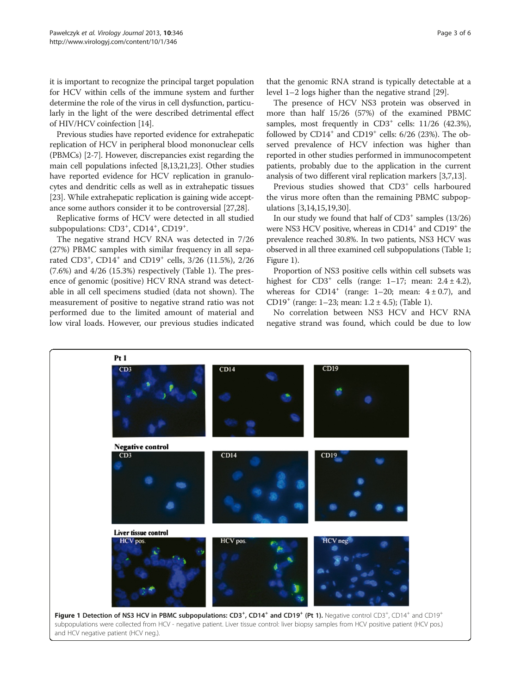<span id="page-2-0"></span>it is important to recognize the principal target population for HCV within cells of the immune system and further determine the role of the virus in cell dysfunction, particularly in the light of the were described detrimental effect of HIV/HCV coinfection [[14\]](#page-5-0).

Previous studies have reported evidence for extrahepatic replication of HCV in peripheral blood mononuclear cells (PBMCs) [\[2-7](#page-5-0)]. However, discrepancies exist regarding the main cell populations infected [[8,13,21,23\]](#page-5-0). Other studies have reported evidence for HCV replication in granulocytes and dendritic cells as well as in extrahepatic tissues [[23](#page-5-0)]. While extrahepatic replication is gaining wide acceptance some authors consider it to be controversial [[27,28\]](#page-5-0).

Replicative forms of HCV were detected in all studied subpopulations: CD3<sup>+</sup>, CD14<sup>+</sup>, CD19<sup>+</sup>.

The negative strand HCV RNA was detected in 7/26 (27%) PBMC samples with similar frequency in all separated CD3<sup>+</sup> , CD14<sup>+</sup> and CD19<sup>+</sup> cells, 3/26 (11.5%), 2/26 (7.6%) and 4/26 (15.3%) respectively (Table [1\)](#page-1-0). The presence of genomic (positive) HCV RNA strand was detectable in all cell specimens studied (data not shown). The measurement of positive to negative strand ratio was not performed due to the limited amount of material and low viral loads. However, our previous studies indicated

that the genomic RNA strand is typically detectable at a level 1–2 logs higher than the negative strand [\[29](#page-5-0)].

The presence of HCV NS3 protein was observed in more than half 15/26 (57%) of the examined PBMC samples, most frequently in  $CD3^+$  cells:  $11/26$  (42.3%), followed by  $CD14^+$  and  $CD19^+$  cells: 6/26 (23%). The observed prevalence of HCV infection was higher than reported in other studies performed in immunocompetent patients, probably due to the application in the current analysis of two different viral replication markers [\[3,7,13](#page-5-0)].

Previous studies showed that CD3<sup>+</sup> cells harboured the virus more often than the remaining PBMC subpopulations [\[3,14,15,19,30\]](#page-5-0).

In our study we found that half of  $CD3^+$  samples  $(13/26)$ were NS3 HCV positive, whereas in  $CD14<sup>+</sup>$  and  $CD19<sup>+</sup>$  the prevalence reached 30.8%. In two patients, NS3 HCV was observed in all three examined cell subpopulations (Table [1](#page-1-0); Figure 1).

Proportion of NS3 positive cells within cell subsets was highest for  $CD3^+$  cells (range: 1–17; mean:  $2.4 \pm 4.2$ ), whereas for CD14<sup>+</sup> (range: 1-20; mean:  $4 \pm 0.7$ ), and CD19<sup>+</sup> (range: [1](#page-1-0)–23; mean:  $1.2 \pm 4.5$ ); (Table 1).

No correlation between NS3 HCV and HCV RNA negative strand was found, which could be due to low



and HCV negative patient (HCV neg.).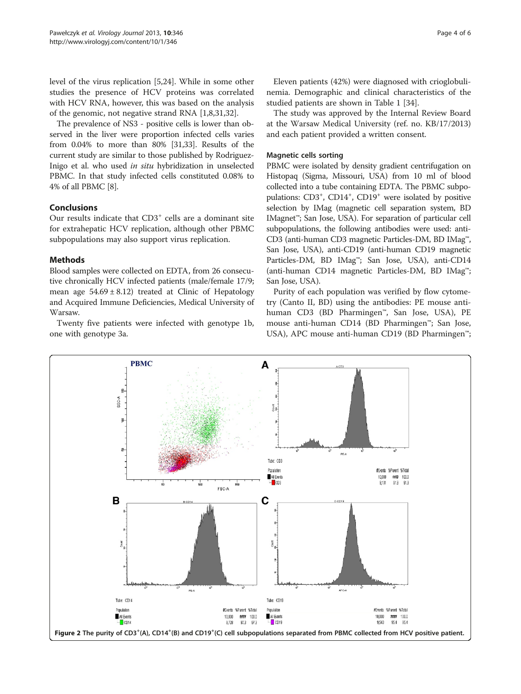<span id="page-3-0"></span>level of the virus replication [\[5,24](#page-5-0)]. While in some other studies the presence of HCV proteins was correlated with HCV RNA, however, this was based on the analysis of the genomic, not negative strand RNA [[1,8,31,32\]](#page-5-0).

The prevalence of NS3 - positive cells is lower than observed in the liver were proportion infected cells varies from 0.04% to more than 80% [[31,33](#page-5-0)]. Results of the current study are similar to those published by Rodriguez-Inigo et al. who used in situ hybridization in unselected PBMC. In that study infected cells constituted 0.08% to 4% of all PBMC [[8](#page-5-0)].

#### Conclusions

Our results indicate that  $CD3<sup>+</sup>$  cells are a dominant site for extrahepatic HCV replication, although other PBMC subpopulations may also support virus replication.

#### **Methods**

Blood samples were collected on EDTA, from 26 consecutive chronically HCV infected patients (male/female 17/9; mean age  $54.69 \pm 8.12$ ) treated at Clinic of Hepatology and Acquired Immune Deficiencies, Medical University of Warsaw.

Twenty five patients were infected with genotype 1b, one with genotype 3a.

studied patients are shown in Table [1](#page-1-0) [\[34](#page-5-0)]. The study was approved by the Internal Review Board at the Warsaw Medical University (ref. no. KB/17/2013) and each patient provided a written consent.

#### Magnetic cells sorting

PBMC were isolated by density gradient centrifugation on Histopaq (Sigma, Missouri, USA) from 10 ml of blood collected into a tube containing EDTA. The PBMC subpopulations: CD3<sup>+</sup>, CD14<sup>+</sup>, CD19<sup>+</sup> were isolated by positive selection by IMag (magnetic cell separation system, BD IMagnet™; San Jose, USA). For separation of particular cell subpopulations, the following antibodies were used: anti-CD3 (anti-human CD3 magnetic Particles-DM, BD IMag™, San Jose, USA), anti-CD19 (anti-human CD19 magnetic Particles-DM, BD IMag™; San Jose, USA), anti-CD14 (anti-human CD14 magnetic Particles-DM, BD IMag™; San Jose, USA).

Purity of each population was verified by flow cytometry (Canto II, BD) using the antibodies: PE mouse antihuman CD3 (BD Pharmingen™, San Jose, USA), PE mouse anti-human CD14 (BD Pharmingen™; San Jose, USA), APC mouse anti-human CD19 (BD Pharmingen™;

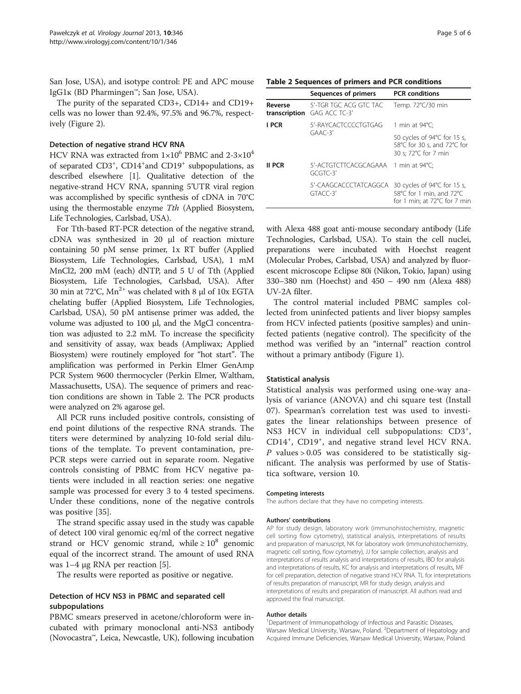San Jose, USA), and isotype control: PE and APC mouse IgG1ĸ (BD Pharmingen™; San Jose, USA).

The purity of the separated CD3+, CD14+ and CD19+ cells was no lower than 92.4%, 97.5% and 96.7%, respectively (Figure [2\)](#page-3-0).

#### Detection of negative strand HCV RNA

HCV RNA was extracted from  $1\times10^6$  PBMC and  $2-3\times10^4$ of separated CD3<sup>+</sup>, CD14<sup>+</sup>and CD19<sup>+</sup> subpopulations, as described elsewhere [[1\]](#page-5-0). Qualitative detection of the negative-strand HCV RNA, spanning 5'UTR viral region was accomplished by specific synthesis of cDNA in 70°C using the thermostable enzyme Tth (Applied Biosystem, Life Technologies, Carlsbad, USA).

For Tth-based RT-PCR detection of the negative strand, cDNA was synthesized in 20 μl of reaction mixture containing 50 pM sense primer, 1x RT buffer (Applied Biosystem, Life Technologies, Carlsbad, USA), 1 mM MnCl2, 200 mM (each) dNTP, and 5 U of Tth (Applied Biosystem, Life Technologies, Carlsbad, USA). After 30 min at 72°C,  $Mn^{2+}$  was chelated with 8  $\mu$ l of 10x EGTA chelating buffer (Applied Biosystem, Life Technologies, Carlsbad, USA), 50 pM antisense primer was added, the volume was adjusted to 100 μl, and the MgCl concentration was adjusted to 2.2 mM. To increase the specificity and sensitivity of assay, wax beads (Ampliwax; Applied Biosystem) were routinely employed for "hot start". The amplification was performed in Perkin Elmer GenAmp PCR System 9600 thermocycler (Perkin Elmer, Waltham, Massachusetts, USA). The sequence of primers and reaction conditions are shown in Table 2. The PCR products were analyzed on 2% agarose gel.

All PCR runs included positive controls, consisting of end point dilutions of the respective RNA strands. The titers were determined by analyzing 10-fold serial dilutions of the template. To prevent contamination, pre-PCR steps were carried out in separate room. Negative controls consisting of PBMC from HCV negative patients were included in all reaction series: one negative sample was processed for every 3 to 4 tested specimens. Under these conditions, none of the negative controls was positive [\[35\]](#page-5-0).

The strand specific assay used in the study was capable of detect 100 viral genomic eq/ml of the correct negative strand or HCV genomic strand, while  $\geq 10^8$  genomic equal of the incorrect strand. The amount of used RNA was 1–4 μg RNA per reaction [\[5](#page-5-0)].

The results were reported as positive or negative.

#### Detection of HCV NS3 in PBMC and separated cell subpopulations

PBMC smears preserved in acetone/chloroform were incubated with primary monoclonal anti-NS3 antibody (Novocastra™, Leica, Newcastle, UK), following incubation

#### Table 2 Sequences of primers and PCR conditions

|         | Sequences of primers                                  | <b>PCR</b> conditions                                                                   |
|---------|-------------------------------------------------------|-----------------------------------------------------------------------------------------|
| Reverse | 5'-TGR TGC ACG GTC TAC<br>transcription GAG ACC TC-3' | Temp. 72°C/30 min                                                                       |
| I PCR   | 5'-RAYCACTCCCCTGTGAG<br>$GAAC-3'$                     | 1 min at $94^{\circ}$ C;                                                                |
|         |                                                       | 50 cycles of 94°C for 15 s,<br>58°C for 30 s, and 72°C for<br>30 s: 72°C for 7 min      |
| II PCR  | 5'-ACTGTCTTCACGCAGAAA 1 min at 94°C:<br>$GCGTC-3'$    |                                                                                         |
|         | 5'-CAAGCACCCTATCAGGCA<br>$GTACC-3'$                   | 30 cycles of 94°C for 15 s,<br>58°C for 1 min, and 72°C<br>for 1 min; at 72°C for 7 min |

with Alexa 488 goat anti-mouse secondary antibody (Life Technologies, Carlsbad, USA). To stain the cell nuclei, preparations were incubated with Hoechst reagent (Molecular Probes, Carlsbad, USA) and analyzed by fluorescent microscope Eclipse 80i (Nikon, Tokio, Japan) using

UV-2A filter. The control material included PBMC samples collected from uninfected patients and liver biopsy samples from HCV infected patients (positive samples) and uninfected patients (negative control). The specificity of the method was verified by an "internal" reaction control without a primary antibody (Figure [1\)](#page-2-0).

330–380 nm (Hoechst) and 450 – 490 nm (Alexa 488)

#### Statistical analysis

Statistical analysis was performed using one-way analysis of variance (ANOVA) and chi square test (Install 07). Spearman's correlation test was used to investigates the linear relationships between presence of NS3 HCV in individual cell subpopulations: CD3<sup>+</sup>, CD14<sup>+</sup>, CD19<sup>+</sup>, and negative strand level HCV RNA.  $P$  values > 0.05 was considered to be statistically significant. The analysis was performed by use of Statistica software, version 10.

#### Competing interests

The authors declare that they have no competing interests.

#### Authors' contributions

AP for study design, laboratory work (immunohistochemistry, magnetic cell sorting flow cytometry), statistical analysis, interpretations of results and preparation of manuscript, NK for laboratory work (immunohistochemistry, magnetic cell sorting, flow cytometry), JJ for sample collection, analysis and interpretations of results analysis and interpretations of results, IBO for analysis and interpretations of results, KC for analysis and interpretations of results, MF for cell preparation, detection of negative strand HCV RNA. TL for interpretations of results preparation of manuscript, MR for study design, analysis and interpretations of results and preparation of manuscript. All authors read and approved the final manuscript.

#### Author details

<sup>1</sup>Department of Immunopathology of Infectious and Parasitic Diseases, Warsaw Medical University, Warsaw, Poland. <sup>2</sup>Department of Hepatology and Acquired Immune Deficiencies, Warsaw Medical University, Warsaw, Poland.